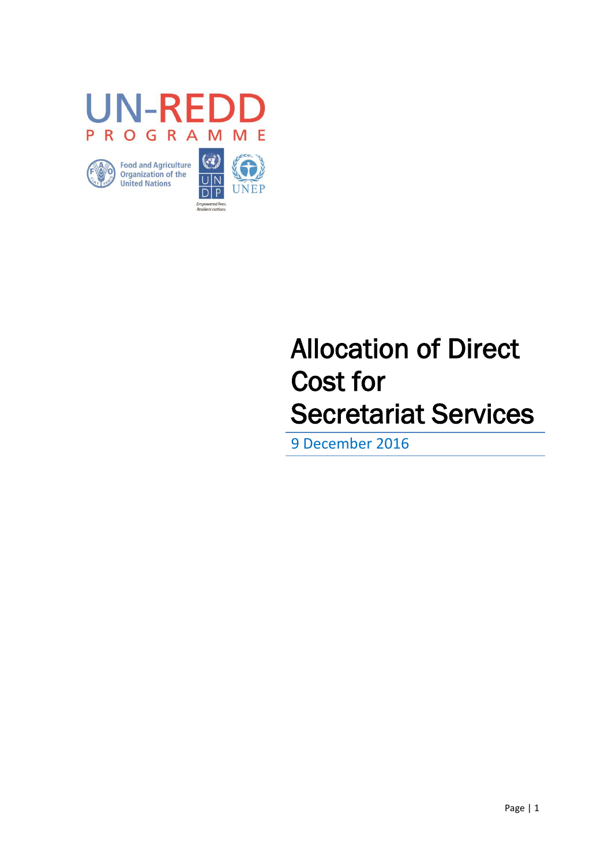

# Allocation of Direct Cost for Secretariat Services

9 December 2016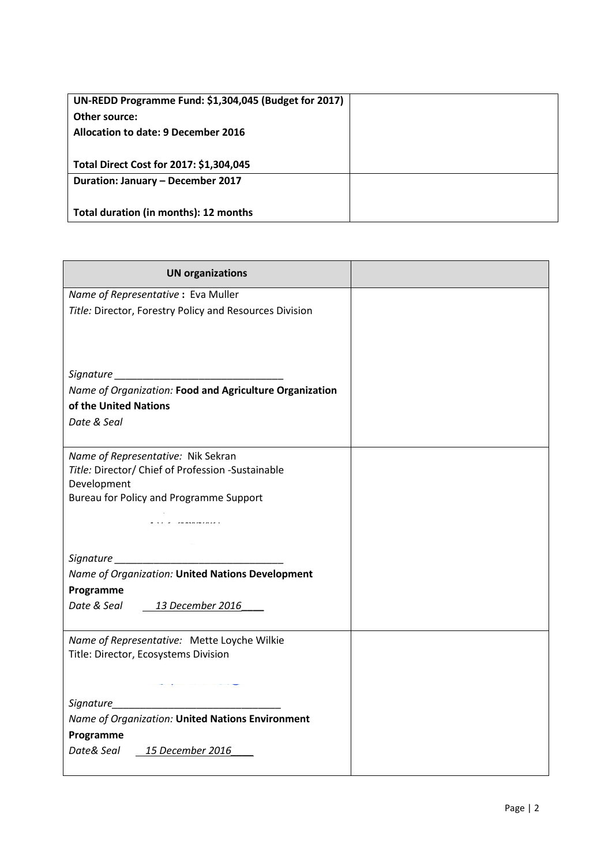| UN-REDD Programme Fund: \$1,304,045 (Budget for 2017) |  |
|-------------------------------------------------------|--|
| Other source:                                         |  |
| Allocation to date: 9 December 2016                   |  |
|                                                       |  |
| Total Direct Cost for 2017: \$1,304,045               |  |
| Duration: January - December 2017                     |  |
|                                                       |  |
| Total duration (in months): 12 months                 |  |

| <b>UN organizations</b>                                 |  |
|---------------------------------------------------------|--|
| Name of Representative: Eva Muller                      |  |
| Title: Director, Forestry Policy and Resources Division |  |
|                                                         |  |
|                                                         |  |
|                                                         |  |
| Signature                                               |  |
| Name of Organization: Food and Agriculture Organization |  |
| of the United Nations                                   |  |
| Date & Seal                                             |  |
|                                                         |  |
| Name of Representative: Nik Sekran                      |  |
| Title: Director/ Chief of Profession -Sustainable       |  |
| Development                                             |  |
| <b>Bureau for Policy and Programme Support</b>          |  |
| .                                                       |  |
|                                                         |  |
| Signature <b>Signature</b>                              |  |
| Name of Organization: United Nations Development        |  |
| Programme                                               |  |
| Date & Seal 13 December 2016                            |  |
|                                                         |  |
| Name of Representative: Mette Loyche Wilkie             |  |
| Title: Director, Ecosystems Division                    |  |
|                                                         |  |
|                                                         |  |
|                                                         |  |
| Name of Organization: United Nations Environment        |  |
| Programme                                               |  |
| Date& Seal 15 December 2016                             |  |
|                                                         |  |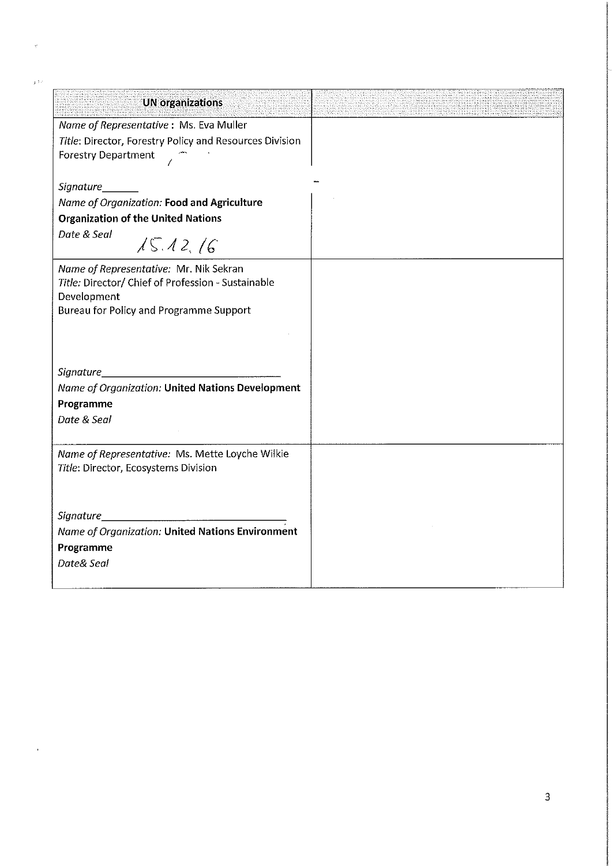| <b>UN organizations</b>                                 |  |
|---------------------------------------------------------|--|
| Name of Representative: Ms. Eva Muller                  |  |
| Title: Director, Forestry Policy and Resources Division |  |
| <b>Forestry Department</b>                              |  |
|                                                         |  |
| Signature_                                              |  |
| Name of Organization: Food and Agriculture              |  |
| <b>Organization of the United Nations</b>               |  |
| Date & Seal<br>15.12, 16                                |  |
| Name of Representative: Mr. Nik Sekran                  |  |
| Title: Director/ Chief of Profession - Sustainable      |  |
| Development                                             |  |
| <b>Bureau for Policy and Programme Support</b>          |  |
|                                                         |  |
|                                                         |  |
|                                                         |  |
| Signature                                               |  |
| Name of Organization: United Nations Development        |  |
| Programme                                               |  |
| Date & Seal                                             |  |
| Name of Representative: Ms. Mette Loyche Wilkie         |  |
| Title: Director, Ecosystems Division                    |  |
|                                                         |  |
|                                                         |  |
| Signature                                               |  |
| Name of Organization: United Nations Environment        |  |
| Programme                                               |  |
| Date& Seal                                              |  |
|                                                         |  |

ر<br>د ر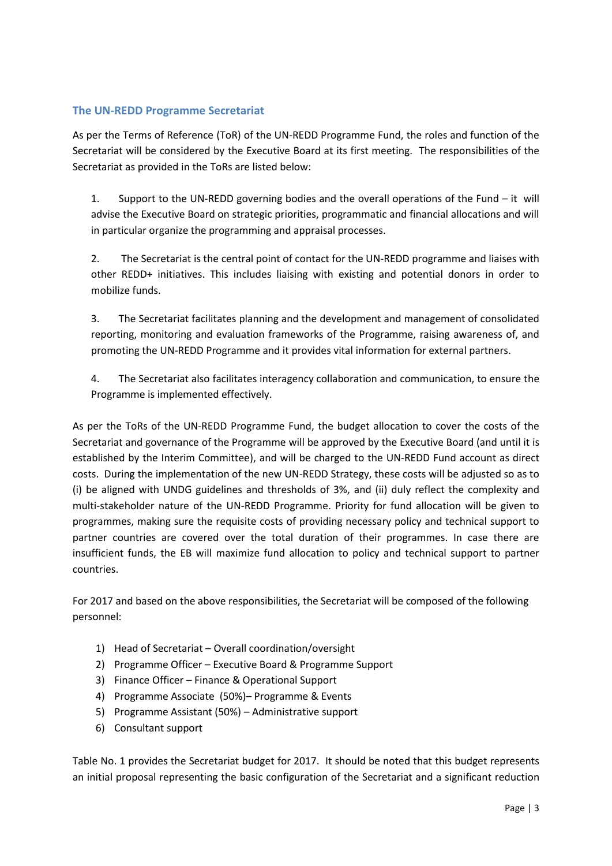#### **The UN-REDD Programme Secretariat**

As per the Terms of Reference (ToR) of the UN-REDD Programme Fund, the roles and function of the Secretariat will be considered by the Executive Board at its first meeting. The responsibilities of the Secretariat as provided in the ToRs are listed below:

1. Support to the UN-REDD governing bodies and the overall operations of the Fund – it will advise the Executive Board on strategic priorities, programmatic and financial allocations and will in particular organize the programming and appraisal processes.

2. The Secretariat is the central point of contact for the UN-REDD programme and liaises with other REDD+ initiatives. This includes liaising with existing and potential donors in order to mobilize funds.

3. The Secretariat facilitates planning and the development and management of consolidated reporting, monitoring and evaluation frameworks of the Programme, raising awareness of, and promoting the UN-REDD Programme and it provides vital information for external partners.

4. The Secretariat also facilitates interagency collaboration and communication, to ensure the Programme is implemented effectively.

As per the ToRs of the UN-REDD Programme Fund, the budget allocation to cover the costs of the Secretariat and governance of the Programme will be approved by the Executive Board (and until it is established by the Interim Committee), and will be charged to the UN-REDD Fund account as direct costs. During the implementation of the new UN-REDD Strategy, these costs will be adjusted so as to (i) be aligned with UNDG guidelines and thresholds of 3%, and (ii) duly reflect the complexity and multi-stakeholder nature of the UN-REDD Programme. Priority for fund allocation will be given to programmes, making sure the requisite costs of providing necessary policy and technical support to partner countries are covered over the total duration of their programmes. In case there are insufficient funds, the EB will maximize fund allocation to policy and technical support to partner countries.

For 2017 and based on the above responsibilities, the Secretariat will be composed of the following personnel:

- 1) Head of Secretariat Overall coordination/oversight
- 2) Programme Officer Executive Board & Programme Support
- 3) Finance Officer Finance & Operational Support
- 4) Programme Associate (50%)– Programme & Events
- 5) Programme Assistant (50%) Administrative support
- 6) Consultant support

Table No. 1 provides the Secretariat budget for 2017. It should be noted that this budget represents an initial proposal representing the basic configuration of the Secretariat and a significant reduction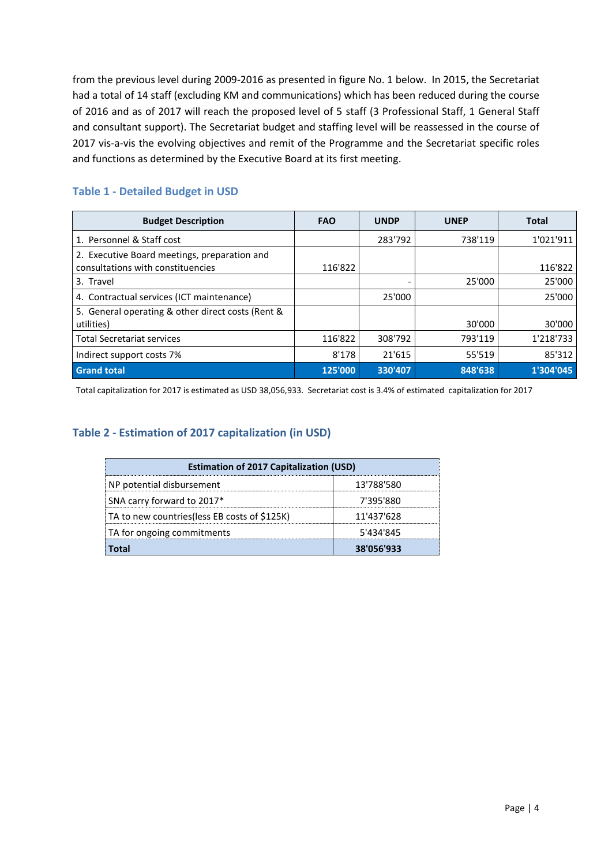from the previous level during 2009-2016 as presented in figure No. 1 below. In 2015, the Secretariat had a total of 14 staff (excluding KM and communications) which has been reduced during the course of 2016 and as of 2017 will reach the proposed level of 5 staff (3 Professional Staff, 1 General Staff and consultant support). The Secretariat budget and staffing level will be reassessed in the course of 2017 vis-a-vis the evolving objectives and remit of the Programme and the Secretariat specific roles and functions as determined by the Executive Board at its first meeting.

| <b>Table 1 - Detailed Budget in USD</b> |  |
|-----------------------------------------|--|
|-----------------------------------------|--|

| <b>Budget Description</b>                                                         | <b>FAO</b> | <b>UNDP</b> | <b>UNEP</b> | <b>Total</b> |
|-----------------------------------------------------------------------------------|------------|-------------|-------------|--------------|
| 1. Personnel & Staff cost                                                         |            | 283'792     | 738'119     | 1'021'911    |
| 2. Executive Board meetings, preparation and<br>consultations with constituencies | 116'822    |             |             | 116'822      |
| 3. Travel                                                                         |            |             | 25'000      | 25'000       |
| 4. Contractual services (ICT maintenance)                                         |            | 25'000      |             | 25'000       |
| 5. General operating & other direct costs (Rent &<br>utilities)                   |            |             | 30'000      | 30'000       |
| <b>Total Secretariat services</b>                                                 | 116'822    | 308'792     | 793'119     | 1'218'733    |
| Indirect support costs 7%                                                         | 8'178      | 21'615      | 55'519      | 85'312       |
| <b>Grand total</b>                                                                | 125'000    | 330'407     | 848'638     | 1'304'045    |

Total capitalization for 2017 is estimated as USD 38,056,933. Secretariat cost is 3.4% of estimated capitalization for 2017

## **Table 2 - Estimation of 2017 capitalization (in USD)**

| <b>Estimation of 2017 Capitalization (USD)</b> |            |  |  |
|------------------------------------------------|------------|--|--|
| NP potential disbursement                      | 13'788'580 |  |  |
| SNA carry forward to 2017*                     | 7'395'880  |  |  |
| TA to new countries (less EB costs of \$125K)  | 11'437'628 |  |  |
| TA for ongoing commitments                     | 5'434'845  |  |  |
|                                                | 38'056'933 |  |  |